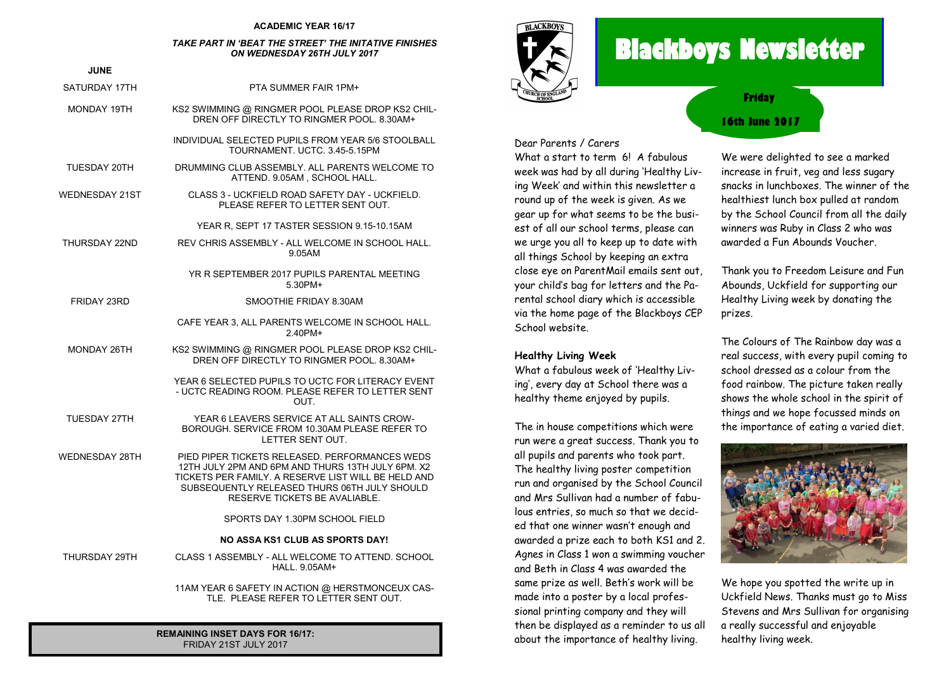#### **ACADEMIC YEAR 16/17**

#### *TAKE PART IN 'BEAT THE STREET' THE INITATIVE FINISHES ON WEDNESDAY 26TH JULY 2017*

| <b>JUNE</b>        |                                                                                                                                                                                                                                             |
|--------------------|---------------------------------------------------------------------------------------------------------------------------------------------------------------------------------------------------------------------------------------------|
|                    |                                                                                                                                                                                                                                             |
| SATURDAY 17TH      | PTA SUMMER FAIR 1PM+                                                                                                                                                                                                                        |
| MONDAY 19TH        | KS2 SWIMMING @ RINGMER POOL PLEASE DROP KS2 CHIL-<br>DREN OFF DIRECTLY TO RINGMER POOL, 8.30AM+                                                                                                                                             |
|                    | INDIVIDUAL SELECTED PUPILS FROM YEAR 5/6 STOOLBALL<br>TOURNAMENT, UCTC, 3.45-5.15PM                                                                                                                                                         |
| TUESDAY 20TH       | DRUMMING CLUB ASSEMBLY. ALL PARENTS WELCOME TO<br>ATTEND. 9.05AM, SCHOOL HALL.                                                                                                                                                              |
| WEDNESDAY 21ST     | CLASS 3 - UCKFIELD ROAD SAFETY DAY - UCKFIELD.<br>PLEASE REFER TO LETTER SENT OUT.                                                                                                                                                          |
|                    | YEAR R, SEPT 17 TASTER SESSION 9.15-10.15AM                                                                                                                                                                                                 |
| THURSDAY 22ND      | REV CHRIS ASSEMBLY - ALL WELCOME IN SCHOOL HALL.<br>9.05AM                                                                                                                                                                                  |
|                    | YR R SEPTEMBER 2017 PUPILS PARENTAL MEETING<br>5.30PM+                                                                                                                                                                                      |
| <b>FRIDAY 23RD</b> | SMOOTHIE FRIDAY 8.30AM                                                                                                                                                                                                                      |
|                    | CAFE YEAR 3, ALL PARENTS WELCOME IN SCHOOL HALL.<br>2.40PM+                                                                                                                                                                                 |
| MONDAY 26TH        | KS2 SWIMMING @ RINGMER POOL PLEASE DROP KS2 CHIL-<br>DREN OFF DIRECTLY TO RINGMER POOL, 8.30AM+                                                                                                                                             |
|                    | YEAR 6 SELECTED PUPILS TO UCTC FOR LITERACY EVENT<br>- UCTC READING ROOM. PLEASE REFER TO LETTER SENT<br>OUT.                                                                                                                               |
| TUESDAY 27TH       | YEAR 6 LEAVERS SERVICE AT ALL SAINTS CROW-<br>BOROUGH. SERVICE FROM 10.30AM PLEASE REFER TO<br>LETTER SENT OUT.                                                                                                                             |
| WEDNESDAY 28TH     | PIED PIPER TICKETS RELEASED. PERFORMANCES WEDS<br>12TH JULY 2PM AND 6PM AND THURS 13TH JULY 6PM. X2<br>TICKETS PER FAMILY. A RESERVE LIST WILL BE HELD AND<br>SUBSEQUENTLY RELEASED THURS 06TH JULY SHOULD<br>RESERVE TICKETS BE AVALIABLE. |
|                    | SPORTS DAY 1.30PM SCHOOL FIELD                                                                                                                                                                                                              |
|                    | <b>NO ASSA KS1 CLUB AS SPORTS DAY!</b>                                                                                                                                                                                                      |
| THURSDAY 29TH      | CLASS 1 ASSEMBLY - ALL WELCOME TO ATTEND. SCHOOL<br><b>HALL, 9.05AM+</b>                                                                                                                                                                    |
|                    | 11AM YEAR 6 SAFETY IN ACTION @ HERSTMONCEUX CAS-<br>TLE. PLEASE REFER TO LETTER SENT OUT.                                                                                                                                                   |

**REMAINING INSET DAYS FOR 16/17:** FRIDAY 21ST JULY 2017



# **Blackboys Newsletter**

**16th June 2017 Friday**

Dear Parents / Carers

What a start to term 6! A fabulous week was had by all during 'Healthy Living Week' and within this newsletter a round up of the week is given. As we gear up for what seems to be the busiest of all our school terms, please can we urge you all to keep up to date with all things School by keeping an extra close eye on ParentMail emails sent out, your child's bag for letters and the Parental school diary which is accessible via the home page of the Blackboys CEP School website.

#### **Healthy Living Week**

What a fabulous week of 'Healthy Living', every day at School there was a healthy theme enjoyed by pupils.

The in house competitions which were run were a great success. Thank you to all pupils and parents who took part. The healthy living poster competition run and organised by the School Council and Mrs Sullivan had a number of fabulous entries, so much so that we decided that one winner wasn't enough and awarded a prize each to both KS1 and 2. Agnes in Class 1 won a swimming voucher and Beth in Class 4 was awarded the same prize as well. Beth's work will be made into a poster by a local professional printing company and they will then be displayed as a reminder to us all about the importance of healthy living.

We were delighted to see a marked increase in fruit, veg and less sugary snacks in lunchboxes. The winner of the healthiest lunch box pulled at random by the School Council from all the daily winners was Ruby in Class 2 who was awarded a Fun Abounds Voucher.

Thank you to Freedom Leisure and Fun Abounds, Uckfield for supporting our Healthy Living week by donating the prizes.

The Colours of The Rainbow day was a real success, with every pupil coming to school dressed as a colour from the food rainbow. The picture taken really shows the whole school in the spirit of things and we hope focussed minds on the importance of eating a varied diet.



We hope you spotted the write up in Uckfield News. Thanks must go to Miss Stevens and Mrs Sullivan for organising a really successful and enjoyable healthy living week.